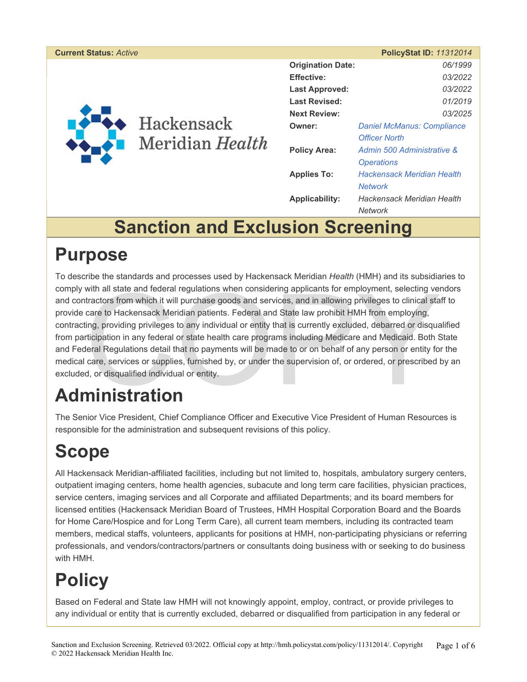| <b>Current Status: Active</b> |                                 |                          | <b>PolicyStat ID: 11312014</b>    |
|-------------------------------|---------------------------------|--------------------------|-----------------------------------|
|                               | ◆ Hackensack<br>Meridian Health | <b>Origination Date:</b> | 06/1999                           |
|                               |                                 | <b>Effective:</b>        | 03/2022                           |
|                               |                                 | <b>Last Approved:</b>    | 03/2022                           |
|                               |                                 | <b>Last Revised:</b>     | 01/2019                           |
|                               |                                 | <b>Next Review:</b>      | 03/2025                           |
|                               |                                 | Owner:                   | <b>Daniel McManus: Compliance</b> |
|                               |                                 |                          | <b>Officer North</b>              |
|                               |                                 | <b>Policy Area:</b>      | Admin 500 Administrative &        |
|                               |                                 |                          | <b>Operations</b>                 |
|                               |                                 | <b>Applies To:</b>       | <b>Hackensack Meridian Health</b> |
|                               |                                 |                          | <b>Network</b>                    |
|                               |                                 | <b>Applicability:</b>    | Hackensack Meridian Health        |
|                               |                                 |                          | <b>Network</b>                    |

# **Sanction and Exclusion Screening**

# **Purpose**

with all state and federal regulations when considering applicants for employment, selecting vertractors from which it will purchase goods and services, and in allowing privileges to clinical state care to Hackensack Merid To describe the standards and processes used by Hackensack Meridian *Health* (HMH) and its subsidiaries to comply with all state and federal regulations when considering applicants for employment, selecting vendors and contractors from which it will purchase goods and services, and in allowing privileges to clinical staff to provide care to Hackensack Meridian patients. Federal and State law prohibit HMH from employing, contracting, providing privileges to any individual or entity that is currently excluded, debarred or disqualified from participation in any federal or state health care programs including Medicare and Medicaid. Both State and Federal Regulations detail that no payments will be made to or on behalf of any person or entity for the medical care, services or supplies, furnished by, or under the supervision of, or ordered, or prescribed by an excluded, or disqualified individual or entity.

# **Administration**

The Senior Vice President, Chief Compliance Officer and Executive Vice President of Human Resources is responsible for the administration and subsequent revisions of this policy.

# **Scope**

All Hackensack Meridian-affiliated facilities, including but not limited to, hospitals, ambulatory surgery centers, outpatient imaging centers, home health agencies, subacute and long term care facilities, physician practices, service centers, imaging services and all Corporate and affiliated Departments; and its board members for licensed entities (Hackensack Meridian Board of Trustees, HMH Hospital Corporation Board and the Boards for Home Care/Hospice and for Long Term Care), all current team members, including its contracted team members, medical staffs, volunteers, applicants for positions at HMH, non-participating physicians or referring professionals, and vendors/contractors/partners or consultants doing business with or seeking to do business with HMH.

# **Policy**

Based on Federal and State law HMH will not knowingly appoint, employ, contract, or provide privileges to any individual or entity that is currently excluded, debarred or disqualified from participation in any federal or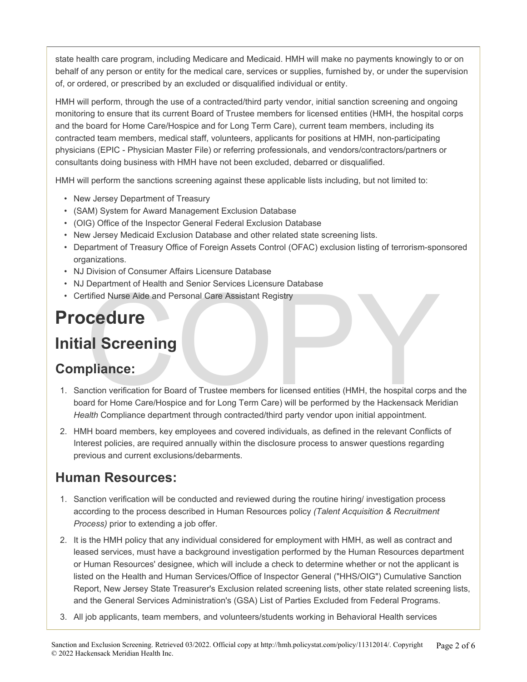state health care program, including Medicare and Medicaid. HMH will make no payments knowingly to or on behalf of any person or entity for the medical care, services or supplies, furnished by, or under the supervision of, or ordered, or prescribed by an excluded or disqualified individual or entity.

HMH will perform, through the use of a contracted/third party vendor, initial sanction screening and ongoing monitoring to ensure that its current Board of Trustee members for licensed entities (HMH, the hospital corps and the board for Home Care/Hospice and for Long Term Care), current team members, including its contracted team members, medical staff, volunteers, applicants for positions at HMH, non-participating physicians (EPIC - Physician Master File) or referring professionals, and vendors/contractors/partners or consultants doing business with HMH have not been excluded, debarred or disqualified.

HMH will perform the sanctions screening against these applicable lists including, but not limited to:

- New Jersey Department of Treasury
- (SAM) System for Award Management Exclusion Database
- (OIG) Office of the Inspector General Federal Exclusion Database
- New Jersey Medicaid Exclusion Database and other related state screening lists.
- Department of Treasury Office of Foreign Assets Control (OFAC) exclusion listing of terrorism-sponsored organizations.
- NJ Division of Consumer Affairs Licensure Database
- NJ Department of Health and Senior Services Licensure Database
- Certified Nurse Aide and Personal Care Assistant Registry

# **Procedure**

## **Initial Screening**

#### **Compliance:**

- Department of Health and Senior Services Licensure Database<br>
Trified Nurse Aide and Personal Care Assistant Registry<br> **CECUUTE**<br> **All Screening**<br>
pliance:<br>
And Screening<br>
pliance:<br>
Arat for Home Care/Hospice and for Long T 1. Sanction verification for Board of Trustee members for licensed entities (HMH, the hospital corps and the board for Home Care/Hospice and for Long Term Care) will be performed by the Hackensack Meridian *Health* Compliance department through contracted/third party vendor upon initial appointment.
- 2. HMH board members, key employees and covered individuals, as defined in the relevant Conflicts of Interest policies, are required annually within the disclosure process to answer questions regarding previous and current exclusions/debarments.

#### **Human Resources:**

- 1. Sanction verification will be conducted and reviewed during the routine hiring/ investigation process according to the process described in Human Resources policy *(Talent Acquisition & Recruitment Process)* prior to extending a job offer.
- 2. It is the HMH policy that any individual considered for employment with HMH, as well as contract and leased services, must have a background investigation performed by the Human Resources department or Human Resources' designee, which will include a check to determine whether or not the applicant is listed on the Health and Human Services/Office of Inspector General ("HHS/OIG") Cumulative Sanction Report, New Jersey State Treasurer's Exclusion related screening lists, other state related screening lists, and the General Services Administration's (GSA) List of Parties Excluded from Federal Programs.
- 3. All job applicants, team members, and volunteers/students working in Behavioral Health services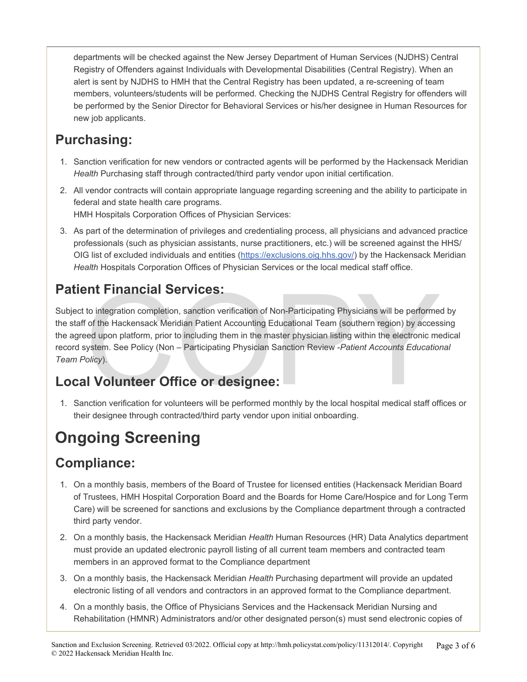departments will be checked against the New Jersey Department of Human Services (NJDHS) Central Registry of Offenders against Individuals with Developmental Disabilities (Central Registry). When an alert is sent by NJDHS to HMH that the Central Registry has been updated, a re-screening of team members, volunteers/students will be performed. Checking the NJDHS Central Registry for offenders will be performed by the Senior Director for Behavioral Services or his/her designee in Human Resources for new job applicants.

#### **Purchasing:**

- 1. Sanction verification for new vendors or contracted agents will be performed by the Hackensack Meridian *Health* Purchasing staff through contracted/third party vendor upon initial certification.
- 2. All vendor contracts will contain appropriate language regarding screening and the ability to participate in federal and state health care programs. HMH Hospitals Corporation Offices of Physician Services:
- 3. As part of the determination of privileges and credentialing process, all physicians and advanced practice professionals (such as physician assistants, nurse practitioners, etc.) will be screened against the HHS/ OIG list of excluded individuals and entities (<https://exclusions.oig.hhs.gov/>) by the Hackensack Meridian *Health* Hospitals Corporation Offices of Physician Services or the local medical staff office.

#### **Patient Financial Services:**

**Example 18 Services:**<br>
to integration completion, sanction verification of Non-Participating Physicians will be performed<br>
in the Hackensack Meridian Patient Accounting Educational Team (southern region) by accessed<br>
the Subject to integration completion, sanction verification of Non-Participating Physicians will be performed by the staff of the Hackensack Meridian Patient Accounting Educational Team (southern region) by accessing the agreed upon platform, prior to including them in the master physician listing within the electronic medical record system. See Policy (Non – Participating Physician Sanction Review -*Patient Accounts Educational Team Policy*).

#### **Local Volunteer Office or designee:**

1. Sanction verification for volunteers will be performed monthly by the local hospital medical staff offices or their designee through contracted/third party vendor upon initial onboarding.

# **Ongoing Screening**

#### **Compliance:**

- 1. On a monthly basis, members of the Board of Trustee for licensed entities (Hackensack Meridian Board of Trustees, HMH Hospital Corporation Board and the Boards for Home Care/Hospice and for Long Term Care) will be screened for sanctions and exclusions by the Compliance department through a contracted third party vendor.
- 2. On a monthly basis, the Hackensack Meridian *Health* Human Resources (HR) Data Analytics department must provide an updated electronic payroll listing of all current team members and contracted team members in an approved format to the Compliance department
- 3. On a monthly basis, the Hackensack Meridian *Health* Purchasing department will provide an updated electronic listing of all vendors and contractors in an approved format to the Compliance department.
- 4. On a monthly basis, the Office of Physicians Services and the Hackensack Meridian Nursing and Rehabilitation (HMNR) Administrators and/or other designated person(s) must send electronic copies of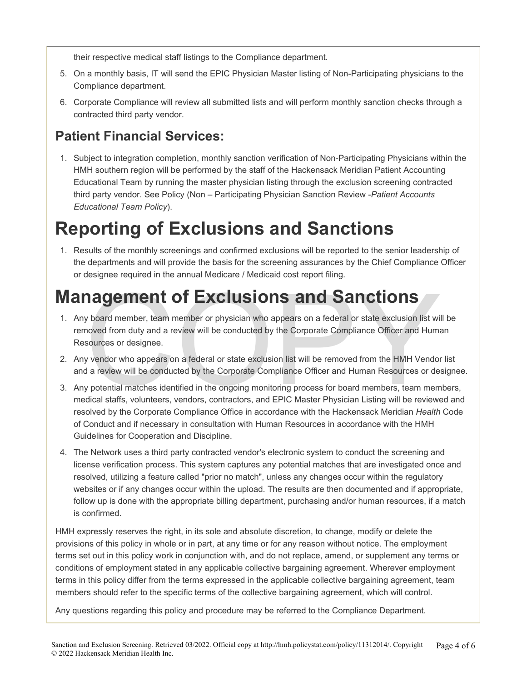their respective medical staff listings to the Compliance department.

- 5. On a monthly basis, IT will send the EPIC Physician Master listing of Non-Participating physicians to the Compliance department.
- 6. Corporate Compliance will review all submitted lists and will perform monthly sanction checks through a contracted third party vendor.

#### **Patient Financial Services:**

1. Subject to integration completion, monthly sanction verification of Non-Participating Physicians within the HMH southern region will be performed by the staff of the Hackensack Meridian Patient Accounting Educational Team by running the master physician listing through the exclusion screening contracted third party vendor. See Policy (Non – Participating Physician Sanction Review -*Patient Accounts Educational Team Policy*).

# **Reporting of Exclusions and Sanctions**

1. Results of the monthly screenings and confirmed exclusions will be reported to the senior leadership of the departments and will provide the basis for the screening assurances by the Chief Compliance Officer or designee required in the annual Medicare / Medicaid cost report filing.

- **Management of Exclusions and Sanctions**<br>
1. Any board member, team member or physician who appears on a federal or state exclusion list wil<br>
removed from duty and a review will be conducted by the Corporate Compliance Off 1. Any board member, team member or physician who appears on a federal or state exclusion list will be removed from duty and a review will be conducted by the Corporate Compliance Officer and Human Resources or designee.
- 2. Any vendor who appears on a federal or state exclusion list will be removed from the HMH Vendor list and a review will be conducted by the Corporate Compliance Officer and Human Resources or designee.
- 3. Any potential matches identified in the ongoing monitoring process for board members, team members, medical staffs, volunteers, vendors, contractors, and EPIC Master Physician Listing will be reviewed and resolved by the Corporate Compliance Office in accordance with the Hackensack Meridian *Health* Code of Conduct and if necessary in consultation with Human Resources in accordance with the HMH Guidelines for Cooperation and Discipline.
- 4. The Network uses a third party contracted vendor's electronic system to conduct the screening and license verification process. This system captures any potential matches that are investigated once and resolved, utilizing a feature called "prior no match", unless any changes occur within the regulatory websites or if any changes occur within the upload. The results are then documented and if appropriate, follow up is done with the appropriate billing department, purchasing and/or human resources, if a match is confirmed.

HMH expressly reserves the right, in its sole and absolute discretion, to change, modify or delete the provisions of this policy in whole or in part, at any time or for any reason without notice. The employment terms set out in this policy work in conjunction with, and do not replace, amend, or supplement any terms or conditions of employment stated in any applicable collective bargaining agreement. Wherever employment terms in this policy differ from the terms expressed in the applicable collective bargaining agreement, team members should refer to the specific terms of the collective bargaining agreement, which will control.

Any questions regarding this policy and procedure may be referred to the Compliance Department.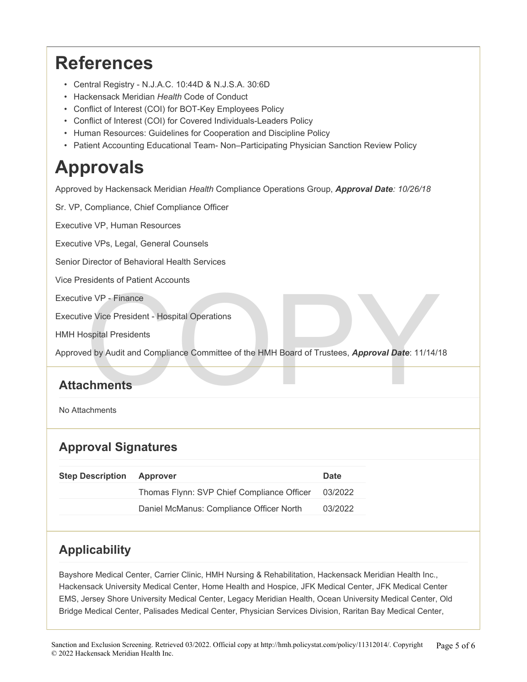# **References**

- Central Registry N.J.A.C. 10:44D & N.J.S.A. 30:6D
- Hackensack Meridian *Health* Code of Conduct
- Conflict of Interest (COI) for BOT-Key Employees Policy
- Conflict of Interest (COI) for Covered Individuals-Leaders Policy
- Human Resources: Guidelines for Cooperation and Discipline Policy
- Patient Accounting Educational Team- Non–Participating Physician Sanction Review Policy

# **Approvals**

Approved by Hackensack Meridian *Health* Compliance Operations Group, *Approval Date: 10/26/18* 

Experiment of France<br>
Vice President - Hospital Operations<br>
Spital Presidents<br>
Committee of the HMH Board of Trustees, Approval Date: 11/14/14<br>
Chments Sr. VP, Compliance, Chief Compliance Officer Executive VP, Human Resources Executive VPs, Legal, General Counsels Senior Director of Behavioral Health Services Vice Presidents of Patient Accounts Executive VP - Finance Executive Vice President - Hospital Operations HMH Hospital Presidents Approved by Audit and Compliance Committee of the HMH Board of Trustees, *Approval Date*: 11/14/18

#### **Attachments**

No Attachments

#### **Approval Signatures**

| <b>Step Description</b> | <b>Approver</b>                            | Date    |
|-------------------------|--------------------------------------------|---------|
|                         | Thomas Flynn: SVP Chief Compliance Officer | 03/2022 |
|                         | Daniel McManus: Compliance Officer North   | 03/2022 |

#### **Applicability**

Bayshore Medical Center, Carrier Clinic, HMH Nursing & Rehabilitation, Hackensack Meridian Health Inc., Hackensack University Medical Center, Home Health and Hospice, JFK Medical Center, JFK Medical Center EMS, Jersey Shore University Medical Center, Legacy Meridian Health, Ocean University Medical Center, Old Bridge Medical Center, Palisades Medical Center, Physician Services Division, Raritan Bay Medical Center,